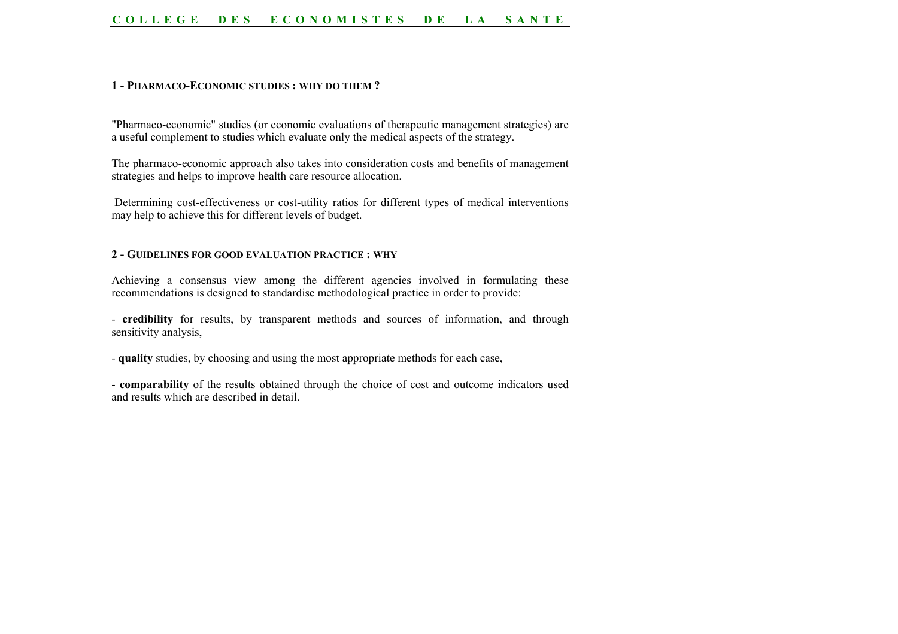#### **COLLEGE DES ECONOMISTES DE LA SANTE**

#### **1 - PHARMACO-ECONOMIC STUDIES : WHY DO THEM ?**

"Pharmaco-economic" studies (or economic evaluations of therapeutic management strategies) are a useful complement to studies which evaluate only the medical aspects of the strategy.

The pharmaco-economic approach also takes into consideration costs and benefits of management strategies and helps to improve health care resource allocation.

 Determining cost-effectiveness or cost-utility ratios for different types of medical interventions may help to achieve this for different levels of budget.

#### **2 - GUIDELINES FOR GOOD EVALUATION PRACTICE : WHY**

Achieving a consensus view among the different agencies involved in formulating these recommendations is designed to standardise methodological practice in order to provide:

- **credibility** for results, by transparent methods and sources of information, and through sensitivity analysis,

- **quality** studies, by choosing and using the most appropriate methods for each case,

- **comparability** of the results obtained through the choice of cost and outcome indicators used and results which are described in detail.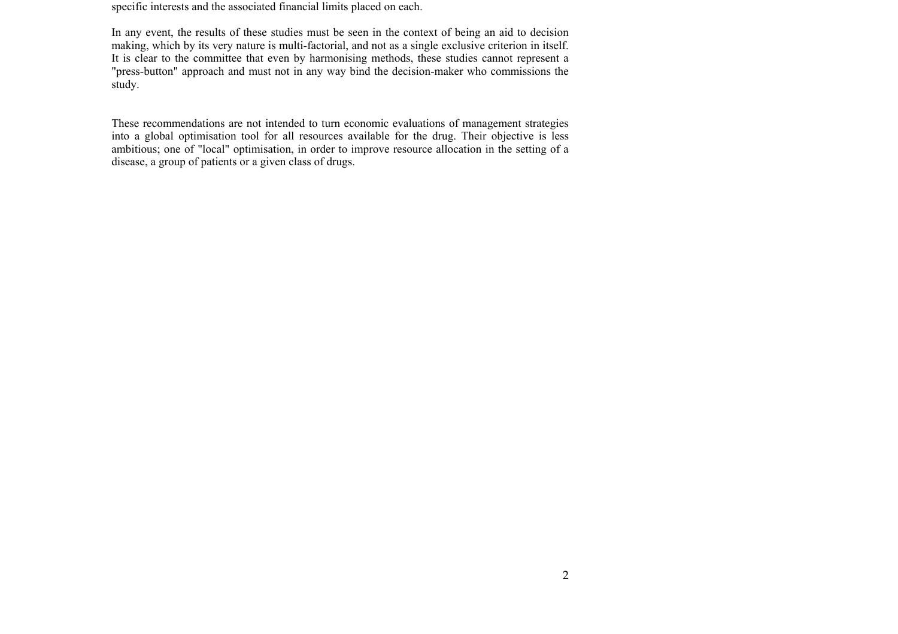specific interests and the associated financial limits placed on each.

In any event, the results of these studies must be seen in the context of being an aid to decision making, which by its very nature is multi-factorial, and not as a single exclusive criterion in itself. It is clear to the committee that even by harmonising methods, these studies cannot represent a "press-button" approach and must not in any way bind the decision-maker who commissions the study.

These recommendations are not intended to turn economic evaluations of management strategies into a global optimisation tool for all resources available for the drug. Their objective is less ambitious; one of "local" optimisation, in order to improve resource allocation in the setting of a disease, a group of patients or a given class of drugs.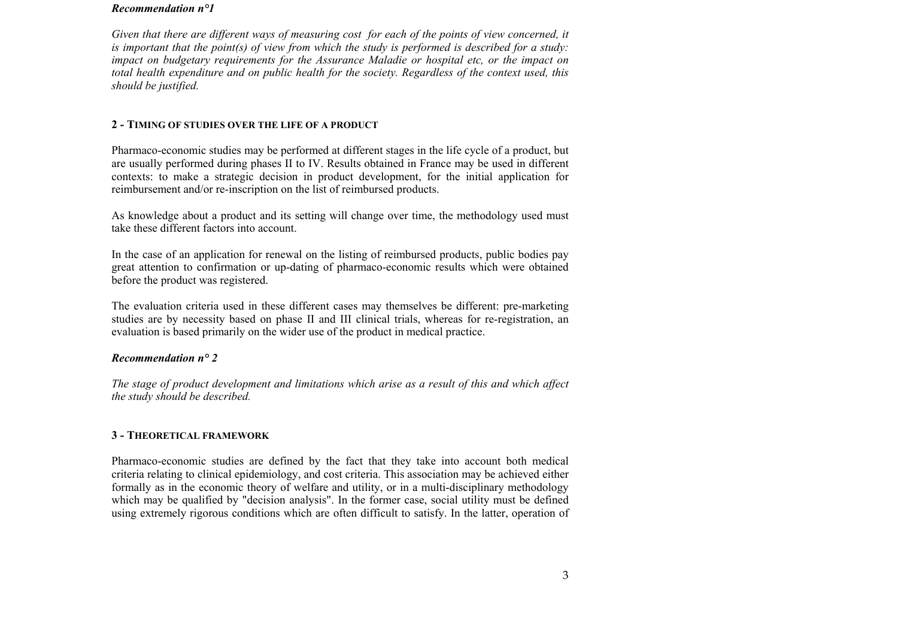#### *Recommendation n°1*

*Given that there are different ways of measuring cost for each of the points of view concerned, it is important that the point(s) of view from which the study is performed is described for a study: impact on budgetary requirements for the Assurance Maladie or hospital etc, or the impact on total health expenditure and on public health for the society. Regardless of the context used, this should be justified.*

## **2 - TIMING OF STUDIES OVER THE LIFE OF A PRODUCT**

Pharmaco-economic studies may be performed at different stages in the life cycle of a product, but are usually performed during phases II to IV. Results obtained in France may be used in different contexts: to make a strategic decision in product development, for the initial application for reimbursement and/or re-inscription on the list of reimbursed products.

As knowledge about a product and its setting will change over time, the methodology used must take these different factors into account.

In the case of an application for renewal on the listing of reimbursed products, public bodies pay great attention to confirmation or up-dating of pharmaco-economic results which were obtained before the product was registered.

The evaluation criteria used in these different cases may themselves be different: pre-marketing studies are by necessity based on phase II and III clinical trials, whereas for re-registration, an evaluation is based primarily on the wider use of the product in medical practice.

# *Recommendation n° 2*

*The stage of product development and limitations which arise as a result of this and which affect the study should be described.*

# **3 - THEORETICAL FRAMEWORK**

Pharmaco-economic studies are defined by the fact that they take into account both medical criteria relating to clinical epidemiology, and cost criteria. This association may be achieved either formally as in the economic theory of welfare and utility, or in a multi-disciplinary methodology which may be qualified by "decision analysis". In the former case, social utility must be defined using extremely rigorous conditions which are often difficult to satisfy. In the latter, operation of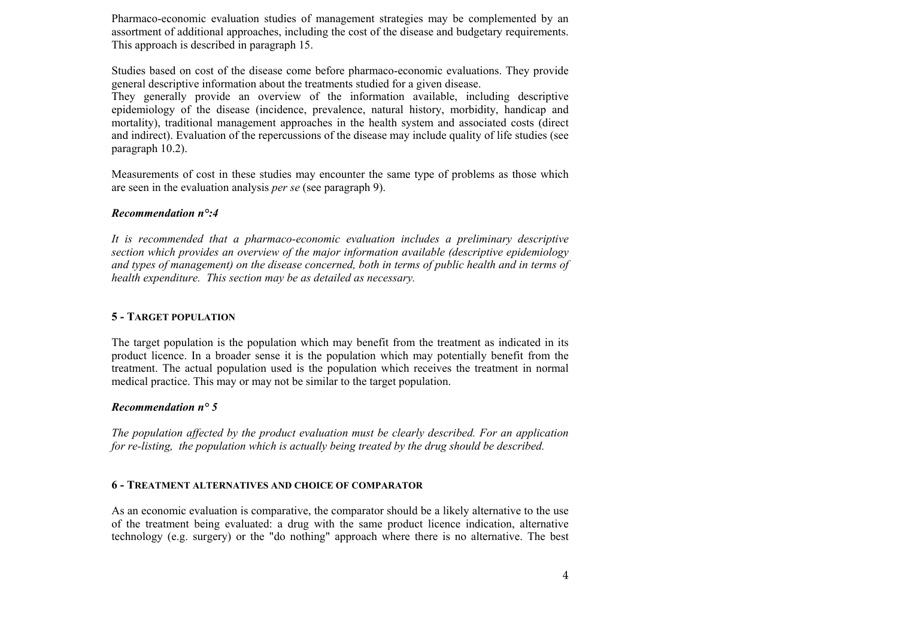Pharmaco-economic evaluation studies of management strategies may be complemented by an assortment of additional approaches, including the cost of the disease and budgetary requirements. This approach is described in paragraph 15.

Studies based on cost of the disease come before pharmaco-economic evaluations. They provide general descriptive information about the treatments studied for a given disease.

They generally provide an overview of the information available, including descriptive epidemiology of the disease (incidence, prevalence, natural history, morbidity, handicap and mortality), traditional management approaches in the health system and associated costs (direct and indirect). Evaluation of the repercussions of the disease may include quality of life studies (see paragraph 10.2).

Measurements of cost in these studies may encounter the same type of problems as those which are seen in the evaluation analysis *per se* (see paragraph 9).

#### *Recommendation n°:4*

*It is recommended that a pharmaco-economic evaluation includes a preliminary descriptive section which provides an overview of the major information available (descriptive epidemiology and types of management) on the disease concerned, both in terms of public health and in terms of health expenditure. This section may be as detailed as necessary.*

#### **5 - TARGET POPULATION**

The target population is the population which may benefit from the treatment as indicated in its product licence. In a broader sense it is the population which may potentially benefit from the treatment. The actual population used is the population which receives the treatment in normal medical practice. This may or may not be similar to the target population.

#### *Recommendation n° 5*

*The population affected by the product evaluation must be clearly described. For an application for re-listing, the population which is actually being treated by the drug should be described.*

#### **6 - TREATMENT ALTERNATIVES AND CHOICE OF COMPARATOR**

As an economic evaluation is comparative, the comparator should be a likely alternative to the use of the treatment being evaluated: a drug with the same product licence indication, alternative technology (e.g. surgery) or the "do nothing" approach where there is no alternative. The best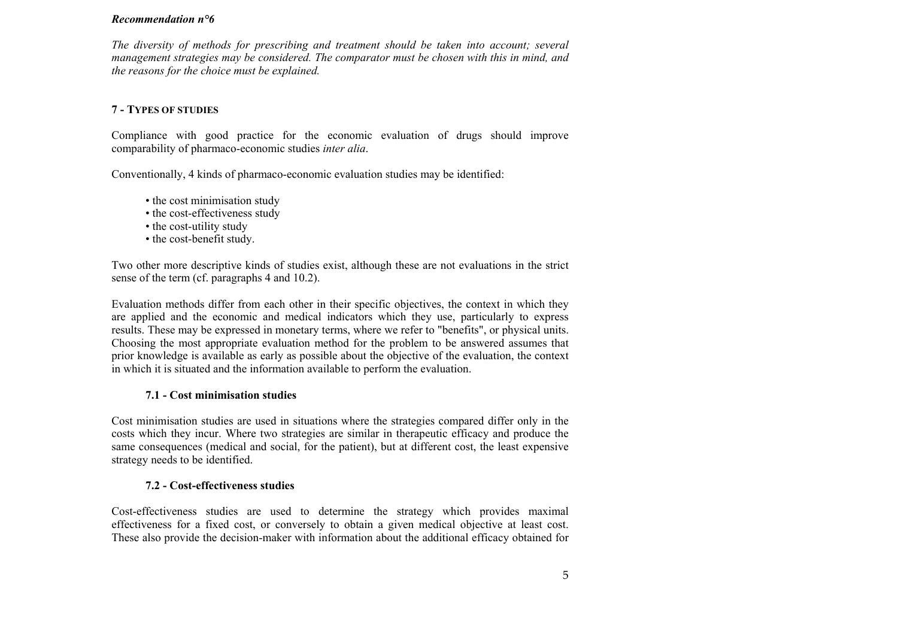#### *Recommendation n°6*

*The diversity of methods for prescribing and treatment should be taken into account; several management strategies may be considered. The comparator must be chosen with this in mind, and the reasons for the choice must be explained.*

## **7 - TYPES OF STUDIES**

Compliance with good practice for the economic evaluation of drugs should improve comparability of pharmaco-economic studies *inter alia*.

Conventionally, 4 kinds of pharmaco-economic evaluation studies may be identified:

- the cost minimisation study
- the cost-effectiveness study
- the cost-utility study
- the cost-benefit study.

Two other more descriptive kinds of studies exist, although these are not evaluations in the strict sense of the term (cf. paragraphs 4 and 10.2).

Evaluation methods differ from each other in their specific objectives, the context in which they are applied and the economic and medical indicators which they use, particularly to express results. These may be expressed in monetary terms, where we refer to "benefits", or physical units. Choosing the most appropriate evaluation method for the problem to be answered assumes that prior knowledge is available as early as possible about the objective of the evaluation, the context in which it is situated and the information available to perform the evaluation.

## **7.1 - Cost minimisation studies**

Cost minimisation studies are used in situations where the strategies compared differ only in the costs which they incur. Where two strategies are similar in therapeutic efficacy and produce the same consequences (medical and social, for the patient), but at different cost, the least expensive strategy needs to be identified.

## **7.2 - Cost-effectiveness studies**

Cost-effectiveness studies are used to determine the strategy which provides maximal effectiveness for a fixed cost, or conversely to obtain a given medical objective at least cost. These also provide the decision-maker with information about the additional efficacy obtained for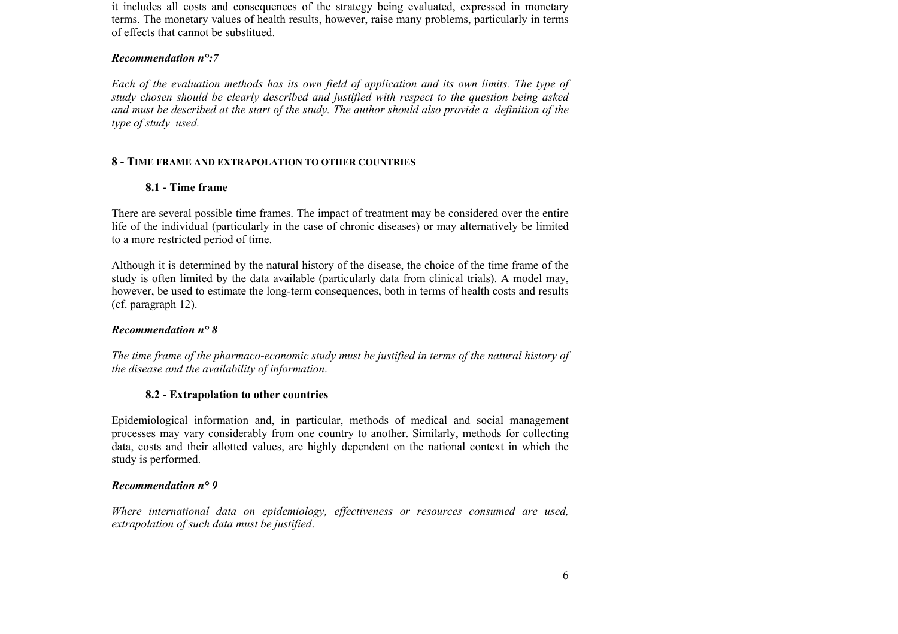it includes all costs and consequences of the strategy being evaluated, expressed in monetary terms. The monetary values of health results, however, raise many problems, particularly in terms of effects that cannot be substitued.

#### *Recommendation n°:7*

*Each of the evaluation methods has its own field of application and its own limits. The type of study chosen should be clearly described and justified with respect to the question being asked and must be described at the start of the study. The author should also provide a definition of the type of study used.* 

## **8 - TIME FRAME AND EXTRAPOLATION TO OTHER COUNTRIES**

## **8.1 - Time frame**

There are several possible time frames. The impact of treatment may be considered over the entire life of the individual (particularly in the case of chronic diseases) or may alternatively be limited to a more restricted period of time.

Although it is determined by the natural history of the disease, the choice of the time frame of the study is often limited by the data available (particularly data from clinical trials). A model may, however, be used to estimate the long-term consequences, both in terms of health costs and results (cf. paragraph 12).

## *Recommendation n° 8*

*The time frame of the pharmaco-economic study must be justified in terms of the natural history of the disease and the availability of information*.

## **8.2 - Extrapolation to other countries**

Epidemiological information and, in particular, methods of medical and social management processes may vary considerably from one country to another. Similarly, methods for collecting data, costs and their allotted values, are highly dependent on the national context in which the study is performed.

## *Recommendation n° 9*

*Where international data on epidemiology, effectiveness or resources consumed are used, extrapolation of such data must be justified*.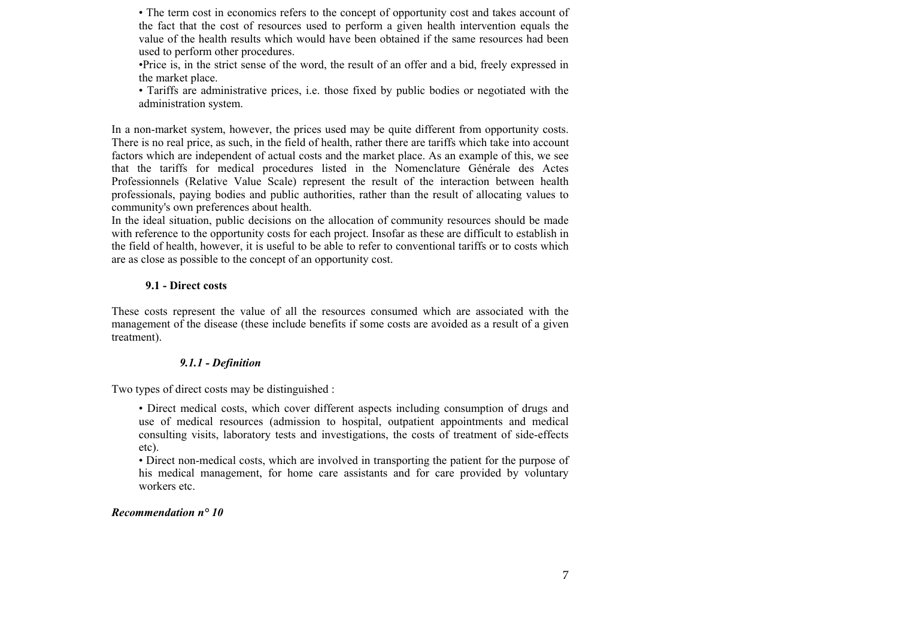• The term cost in economics refers to the concept of opportunity cost and takes account of the fact that the cost of resources used to perform a given health intervention equals the value of the health results which would have been obtained if the same resources had been used to perform other procedures.

•Price is, in the strict sense of the word, the result of an offer and a bid, freely expressed in the market place.

• Tariffs are administrative prices, i.e. those fixed by public bodies or negotiated with the administration system.

In a non-market system, however, the prices used may be quite different from opportunity costs. There is no real price, as such, in the field of health, rather there are tariffs which take into account factors which are independent of actual costs and the market place. As an example of this, we see that the tariffs for medical procedures listed in the Nomenclature Générale des Actes Professionnels (Relative Value Scale) represent the result of the interaction between health professionals, paying bodies and public authorities, rather than the result of allocating values to community's own preferences about health.

In the ideal situation, public decisions on the allocation of community resources should be made with reference to the opportunity costs for each project. Insofar as these are difficult to establish in the field of health, however, it is useful to be able to refer to conventional tariffs or to costs which are as close as possible to the concept of an opportunity cost.

## **9.1 - Direct costs**

These costs represent the value of all the resources consumed which are associated with the management of the disease (these include benefits if some costs are avoided as a result of a given treatment).

## *9.1.1 - Definition*

Two types of direct costs may be distinguished :

• Direct medical costs, which cover different aspects including consumption of drugs and use of medical resources (admission to hospital, outpatient appointments and medical consulting visits, laboratory tests and investigations, the costs of treatment of side-effects etc).

• Direct non-medical costs, which are involved in transporting the patient for the purpose of his medical management, for home care assistants and for care provided by voluntary workers etc.

## *Recommendation n° 10*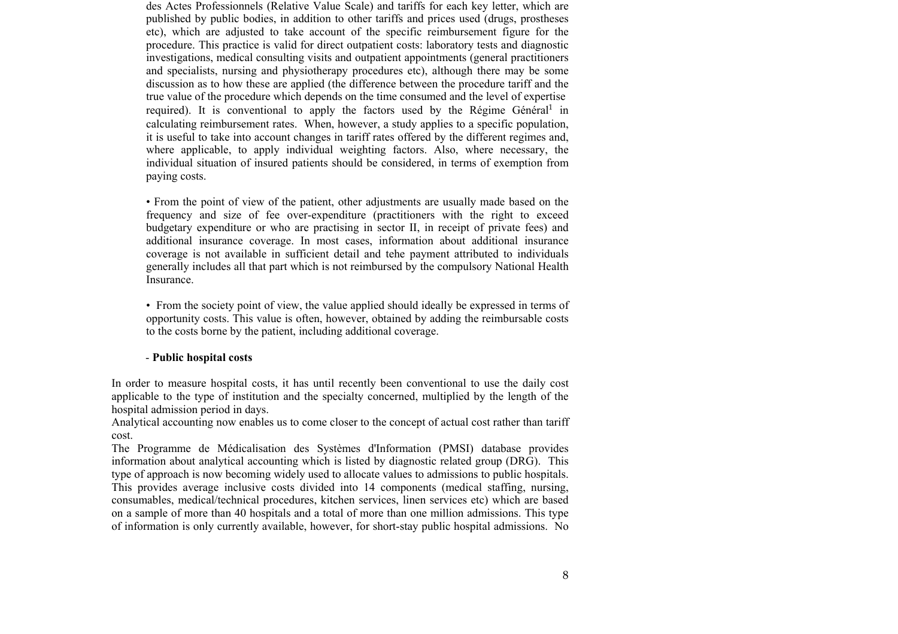des Actes Professionnels (Relative Value Scale) and tariffs for each key letter, which are published by public bodies, in addition to other tariffs and prices used (drugs, prostheses etc), which are adjusted to take account of the specific reimbursement figure for the procedure. This practice is valid for direct outpatient costs: laboratory tests and diagnostic investigations, medical consulting visits and outpatient appointments (general practitioners and specialists, nursing and physiotherapy procedures etc), although there may be some discussion as to how these are applied (the difference between the procedure tariff and the true value of the procedure which depends on the time consumed and the level of expertise required). It is conventional to apply the factors used by the Régime Général<sup>[1](#page-20-0)</sup> in calculating reimbursement rates. When, however, a study applies to a specific population, it is useful to take into account changes in tariff rates offered by the different regimes and, where applicable, to apply individual weighting factors. Also, where necessary, the individual situation of insured patients should be considered, in terms of exemption from paying costs.

• From the point of view of the patient, other adjustments are usually made based on the frequency and size of fee over-expenditure (practitioners with the right to exceed budgetary expenditure or who are practising in sector II, in receipt of private fees) and additional insurance coverage. In most cases, information about additional insurance coverage is not available in sufficient detail and tehe payment attributed to individuals generally includes all that part which is not reimbursed by the compulsory National Health Insurance.

• From the society point of view, the value applied should ideally be expressed in terms of opportunity costs. This value is often, however, obtained by adding the reimbursable costs to the costs borne by the patient, including additional coverage.

#### - **Public hospital costs**

In order to measure hospital costs, it has until recently been conventional to use the daily cost applicable to the type of institution and the specialty concerned, multiplied by the length of the hospital admission period in days.

Analytical accounting now enables us to come closer to the concept of actual cost rather than tariff cost.

The Programme de Médicalisation des Systèmes d'Information (PMSI) database provides information about analytical accounting which is listed by diagnostic related group (DRG). This type of approach is now becoming widely used to allocate values to admissions to public hospitals. This provides average inclusive costs divided into 14 components (medical staffing, nursing, consumables, medical/technical procedures, kitchen services, linen services etc) which are based on a sample of more than 40 hospitals and a total of more than one million admissions. This type of information is only currently available, however, for short-stay public hospital admissions. No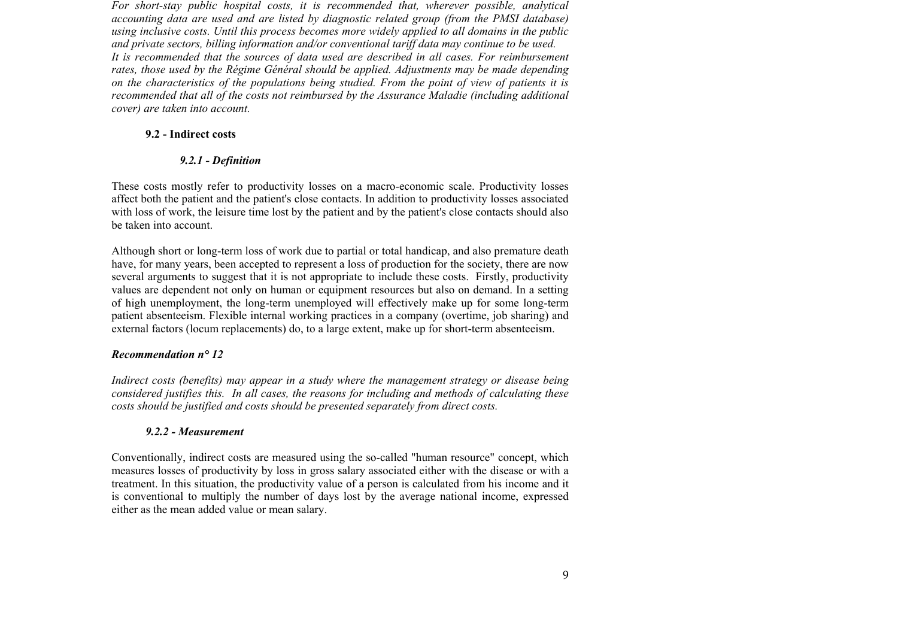*For short-stay public hospital costs, it is recommended that, wherever possible, analytical accounting data are used and are listed by diagnostic related group (from the PMSI database) using inclusive costs. Until this process becomes more widely applied to all domains in the public and private sectors, billing information and/or conventional tariff data may continue to be used. It is recommended that the sources of data used are described in all cases. For reimbursement rates, those used by the Régime Général should be applied. Adjustments may be made depending on the characteristics of the populations being studied. From the point of view of patients it is recommended that all of the costs not reimbursed by the Assurance Maladie (including additional cover) are taken into account.*

#### **9.2 - Indirect costs**

#### *9.2.1 - Definition*

These costs mostly refer to productivity losses on a macro-economic scale. Productivity losses affect both the patient and the patient's close contacts. In addition to productivity losses associated with loss of work, the leisure time lost by the patient and by the patient's close contacts should also be taken into account.

Although short or long-term loss of work due to partial or total handicap, and also premature death have, for many years, been accepted to represent a loss of production for the society, there are now several arguments to suggest that it is not appropriate to include these costs. Firstly, productivity values are dependent not only on human or equipment resources but also on demand. In a setting of high unemployment, the long-term unemployed will effectively make up for some long-term patient absenteeism. Flexible internal working practices in a company (overtime, job sharing) and external factors (locum replacements) do, to a large extent, make up for short-term absenteeism.

#### *Recommendation n° 12*

*Indirect costs (benefits) may appear in a study where the management strategy or disease being considered justifies this. In all cases, the reasons for including and methods of calculating these costs should be justified and costs should be presented separately from direct costs.*

#### *9.2.2 - Measurement*

Conventionally, indirect costs are measured using the so-called "human resource" concept, which measures losses of productivity by loss in gross salary associated either with the disease or with a treatment. In this situation, the productivity value of a person is calculated from his income and it is conventional to multiply the number of days lost by the average national income, expressed either as the mean added value or mean salary.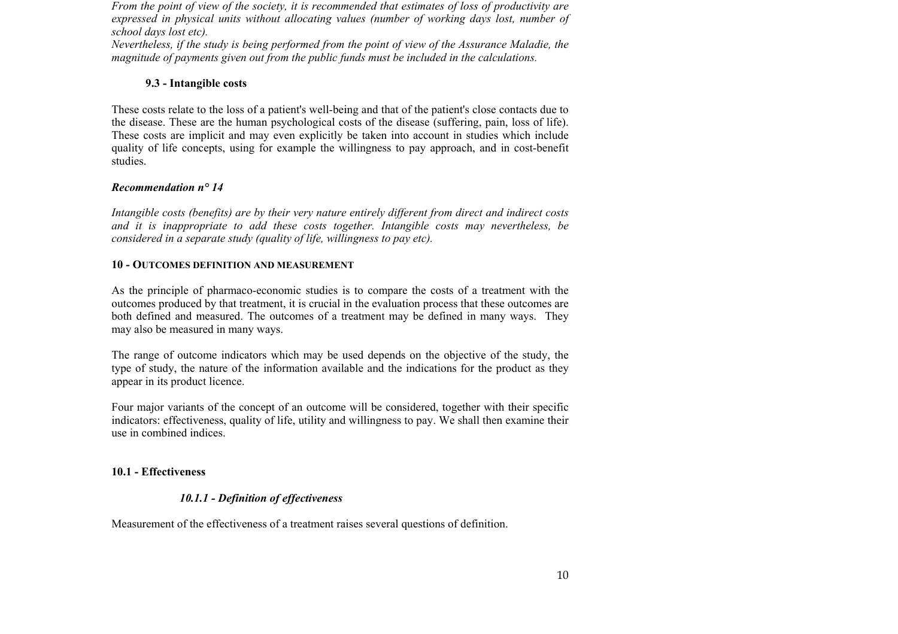*From the point of view of the society, it is recommended that estimates of loss of productivity are expressed in physical units without allocating values (number of working days lost, number of school days lost etc).* 

*Nevertheless, if the study is being performed from the point of view of the Assurance Maladie, the magnitude of payments given out from the public funds must be included in the calculations.* 

## **9.3 - Intangible costs**

These costs relate to the loss of a patient's well-being and that of the patient's close contacts due to the disease. These are the human psychological costs of the disease (suffering, pain, loss of life). These costs are implicit and may even explicitly be taken into account in studies which include quality of life concepts, using for example the willingness to pay approach, and in cost-benefit studies.

## *Recommendation n° 14*

*Intangible costs (benefits) are by their very nature entirely different from direct and indirect costs and it is inappropriate to add these costs together. Intangible costs may nevertheless, be considered in a separate study (quality of life, willingness to pay etc).* 

## **10 - OUTCOMES DEFINITION AND MEASUREMENT**

As the principle of pharmaco-economic studies is to compare the costs of a treatment with the outcomes produced by that treatment, it is crucial in the evaluation process that these outcomes are both defined and measured. The outcomes of a treatment may be defined in many ways. They may also be measured in many ways.

The range of outcome indicators which may be used depends on the objective of the study, the type of study, the nature of the information available and the indications for the product as they appear in its product licence.

Four major variants of the concept of an outcome will be considered, together with their specific indicators: effectiveness, quality of life, utility and willingness to pay. We shall then examine their use in combined indices.

# **10.1 - Effectiveness**

# *10.1.1 - Definition of effectiveness*

Measurement of the effectiveness of a treatment raises several questions of definition.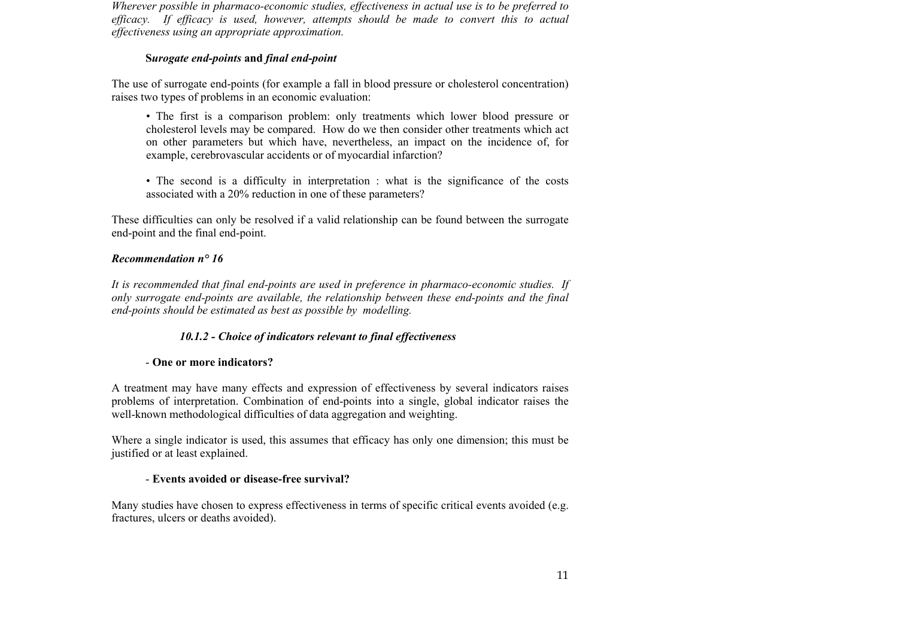*Wherever possible in pharmaco-economic studies, effectiveness in actual use is to be preferred to efficacy. If efficacy is used, however, attempts should be made to convert this to actual effectiveness using an appropriate approximation.*

## **S***urogate end-points* **and** *final end-point*

The use of surrogate end-points (for example a fall in blood pressure or cholesterol concentration) raises two types of problems in an economic evaluation:

- The first is a comparison problem: only treatments which lower blood pressure or cholesterol levels may be compared. How do we then consider other treatments which act on other parameters but which have, nevertheless, an impact on the incidence of, for example, cerebrovascular accidents or of myocardial infarction?
- The second is a difficulty in interpretation : what is the significance of the costs associated with a 20% reduction in one of these parameters?

These difficulties can only be resolved if a valid relationship can be found between the surrogate end-point and the final end-point.

# *Recommendation n° 16*

*It is recommended that final end-points are used in preference in pharmaco-economic studies. If only surrogate end-points are available, the relationship between these end-points and the final end-points should be estimated as best as possible by modelling.* 

# *10.1.2 - Choice of indicators relevant to final effectiveness*

# - **One or more indicators?**

A treatment may have many effects and expression of effectiveness by several indicators raises problems of interpretation. Combination of end-points into a single, global indicator raises the well-known methodological difficulties of data aggregation and weighting.

Where a single indicator is used, this assumes that efficacy has only one dimension; this must be justified or at least explained.

# - **Events avoided or disease-free survival?**

Many studies have chosen to express effectiveness in terms of specific critical events avoided (e.g. fractures, ulcers or deaths avoided).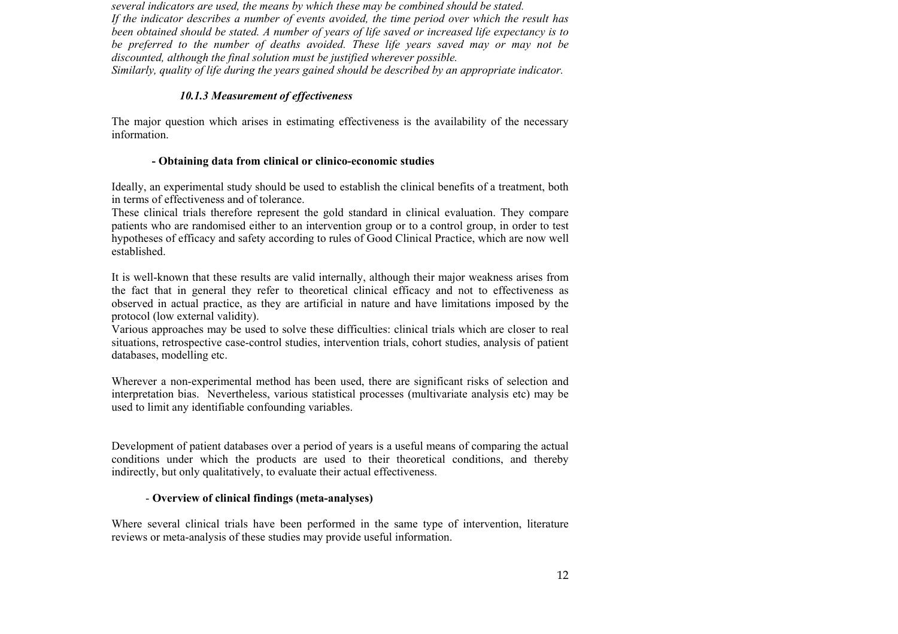*several indicators are used, the means by which these may be combined should be stated. If the indicator describes a number of events avoided, the time period over which the result has been obtained should be stated. A number of years of life saved or increased life expectancy is to be preferred to the number of deaths avoided. These life years saved may or may not be discounted, although the final solution must be justified wherever possible. Similarly, quality of life during the years gained should be described by an appropriate indicator.* 

## *10.1.3 Measurement of effectiveness*

The major question which arises in estimating effectiveness is the availability of the necessary information.

## **- Obtaining data from clinical or clinico-economic studies**

Ideally, an experimental study should be used to establish the clinical benefits of a treatment, both in terms of effectiveness and of tolerance.

These clinical trials therefore represent the gold standard in clinical evaluation. They compare patients who are randomised either to an intervention group or to a control group, in order to test hypotheses of efficacy and safety according to rules of Good Clinical Practice, which are now well established.

It is well-known that these results are valid internally, although their major weakness arises from the fact that in general they refer to theoretical clinical efficacy and not to effectiveness as observed in actual practice, as they are artificial in nature and have limitations imposed by the protocol (low external validity).

Various approaches may be used to solve these difficulties: clinical trials which are closer to real situations, retrospective case-control studies, intervention trials, cohort studies, analysis of patient databases, modelling etc.

Wherever a non-experimental method has been used, there are significant risks of selection and interpretation bias. Nevertheless, various statistical processes (multivariate analysis etc) may be used to limit any identifiable confounding variables.

Development of patient databases over a period of years is a useful means of comparing the actual conditions under which the products are used to their theoretical conditions, and thereby indirectly, but only qualitatively, to evaluate their actual effectiveness.

# - **Overview of clinical findings (meta-analyses)**

Where several clinical trials have been performed in the same type of intervention, literature reviews or meta-analysis of these studies may provide useful information.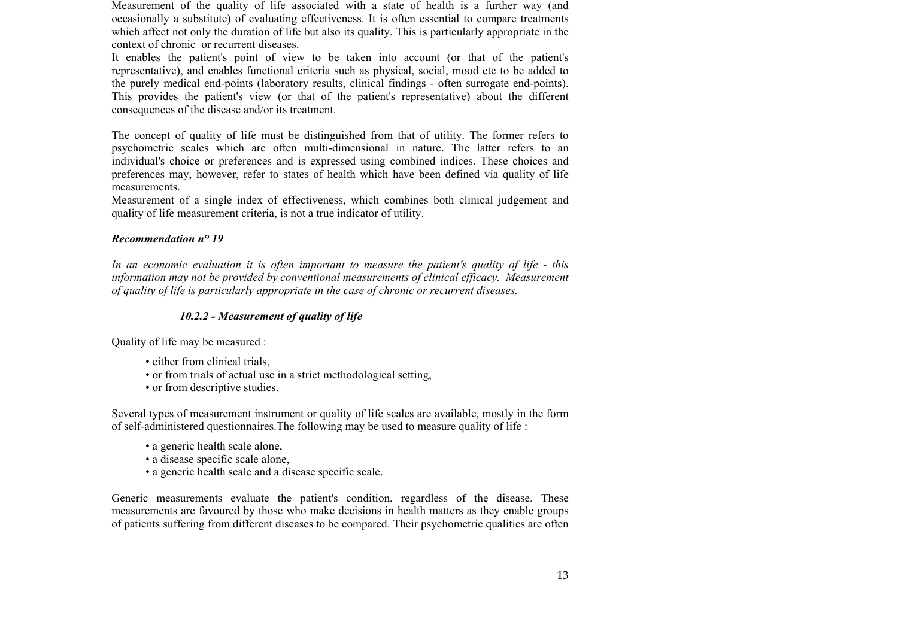Measurement of the quality of life associated with a state of health is a further way (and occasionally a substitute) of evaluating effectiveness. It is often essential to compare treatments which affect not only the duration of life but also its quality. This is particularly appropriate in the context of chronic or recurrent diseases.

It enables the patient's point of view to be taken into account (or that of the patient's representative), and enables functional criteria such as physical, social, mood etc to be added to the purely medical end-points (laboratory results, clinical findings - often surrogate end-points). This provides the patient's view (or that of the patient's representative) about the different consequences of the disease and/or its treatment.

The concept of quality of life must be distinguished from that of utility. The former refers to psychometric scales which are often multi-dimensional in nature. The latter refers to an individual's choice or preferences and is expressed using combined indices. These choices and preferences may, however, refer to states of health which have been defined via quality of life measurements.

Measurement of a single index of effectiveness, which combines both clinical judgement and quality of life measurement criteria, is not a true indicator of utility.

## *Recommendation n° 19*

*In an economic evaluation it is often important to measure the patient's quality of life - this information may not be provided by conventional measurements of clinical efficacy. Measurement of quality of life is particularly appropriate in the case of chronic or recurrent diseases.*

# *10.2.2 - Measurement of quality of life*

Quality of life may be measured :

- either from clinical trials,
- or from trials of actual use in a strict methodological setting,
- or from descriptive studies.

Several types of measurement instrument or quality of life scales are available, mostly in the form of self-administered questionnaires.The following may be used to measure quality of life :

- a generic health scale alone,
- a disease specific scale alone,
- a generic health scale and a disease specific scale.

Generic measurements evaluate the patient's condition, regardless of the disease. These measurements are favoured by those who make decisions in health matters as they enable groups of patients suffering from different diseases to be compared. Their psychometric qualities are often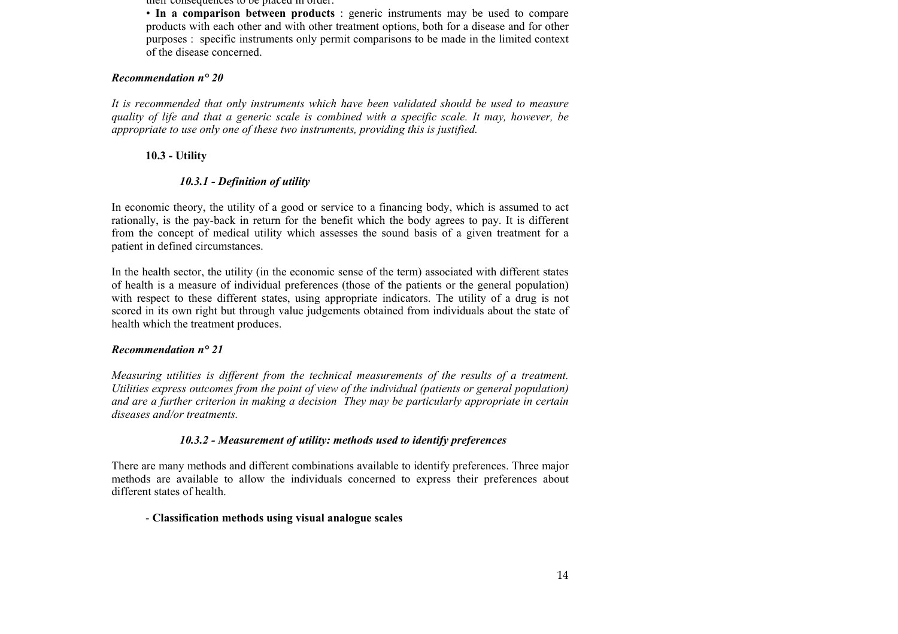their consequences to be placed in order.

• **In a comparison between products** : generic instruments may be used to compare products with each other and with other treatment options, both for a disease and for other purposes : specific instruments only permit comparisons to be made in the limited context of the disease concerned.

## *Recommendation n° 20*

*It is recommended that only instruments which have been validated should be used to measure quality of life and that a generic scale is combined with a specific scale. It may, however, be appropriate to use only one of these two instruments, providing this is justified.*

## **10.3 - Utility**

# *10.3.1 - Definition of utility*

In economic theory, the utility of a good or service to a financing body, which is assumed to act rationally, is the pay-back in return for the benefit which the body agrees to pay. It is different from the concept of medical utility which assesses the sound basis of a given treatment for a patient in defined circumstances.

In the health sector, the utility (in the economic sense of the term) associated with different states of health is a measure of individual preferences (those of the patients or the general population) with respect to these different states, using appropriate indicators. The utility of a drug is not scored in its own right but through value judgements obtained from individuals about the state of health which the treatment produces.

## *Recommendation n° 21*

*Measuring utilities is different from the technical measurements of the results of a treatment. Utilities express outcomes from the point of view of the individual (patients or general population) and are a further criterion in making a decision They may be particularly appropriate in certain diseases and/or treatments.*

## *10.3.2 - Measurement of utility: methods used to identify preferences*

There are many methods and different combinations available to identify preferences. Three major methods are available to allow the individuals concerned to express their preferences about different states of health.

## - **Classification methods using visual analogue scales**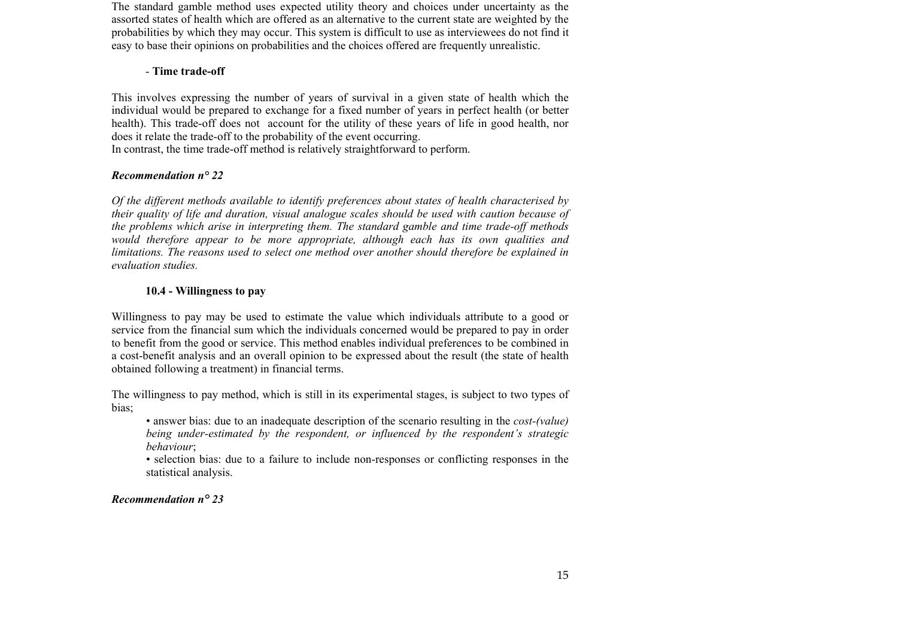The standard gamble method uses expected utility theory and choices under uncertainty as the assorted states of health which are offered as an alternative to the current state are weighted by the probabilities by which they may occur. This system is difficult to use as interviewees do not find it easy to base their opinions on probabilities and the choices offered are frequently unrealistic.

## - **Time trade-off**

This involves expressing the number of years of survival in a given state of health which the individual would be prepared to exchange for a fixed number of years in perfect health (or better health). This trade-off does not account for the utility of these years of life in good health, nor does it relate the trade-off to the probability of the event occurring. In contrast, the time trade-off method is relatively straightforward to perform.

# *Recommendation n° 22*

*Of the different methods available to identify preferences about states of health characterised by their quality of life and duration, visual analogue scales should be used with caution because of the problems which arise in interpreting them. The standard gamble and time trade-off methods would therefore appear to be more appropriate, although each has its own qualities and limitations. The reasons used to select one method over another should therefore be explained in evaluation studies.*

# **10.4 - Willingness to pay**

Willingness to pay may be used to estimate the value which individuals attribute to a good or service from the financial sum which the individuals concerned would be prepared to pay in order to benefit from the good or service. This method enables individual preferences to be combined in a cost-benefit analysis and an overall opinion to be expressed about the result (the state of health obtained following a treatment) in financial terms.

The willingness to pay method, which is still in its experimental stages, is subject to two types of bias;

• answer bias: due to an inadequate description of the scenario resulting in the *cost-(value) being under-estimated by the respondent, or influenced by the respondent's strategic behaviour*;

• selection bias: due to a failure to include non-responses or conflicting responses in the statistical analysis.

*Recommendation n° 23*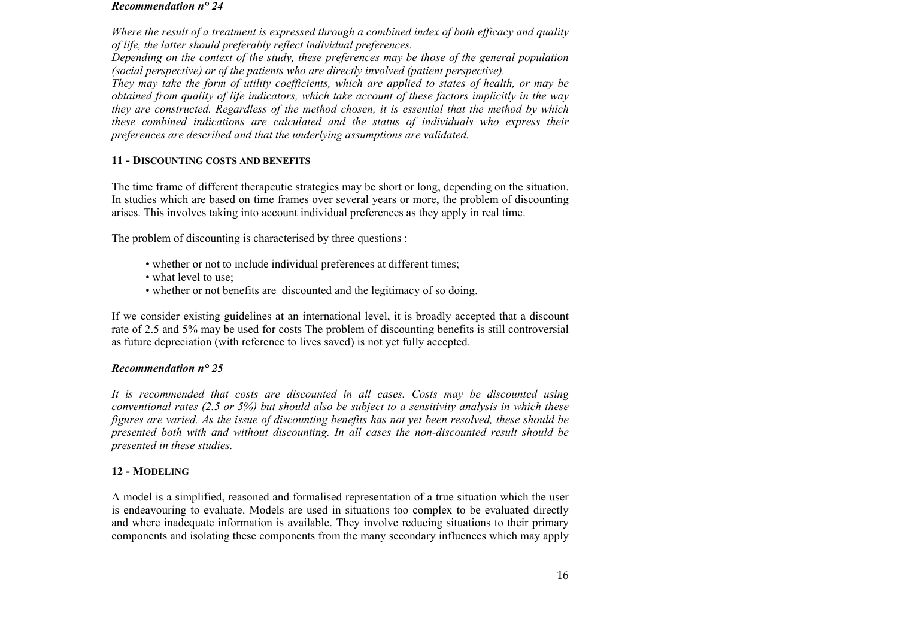#### *Recommendation n° 24*

*Where the result of a treatment is expressed through a combined index of both efficacy and quality of life, the latter should preferably reflect individual preferences.* 

*Depending on the context of the study, these preferences may be those of the general population (social perspective) or of the patients who are directly involved (patient perspective).* 

*They may take the form of utility coefficients, which are applied to states of health, or may be obtained from quality of life indicators, which take account of these factors implicitly in the way they are constructed. Regardless of the method chosen, it is essential that the method by which these combined indications are calculated and the status of individuals who express their preferences are described and that the underlying assumptions are validated.*

#### **11 - DISCOUNTING COSTS AND BENEFITS**

The time frame of different therapeutic strategies may be short or long, depending on the situation. In studies which are based on time frames over several years or more, the problem of discounting arises. This involves taking into account individual preferences as they apply in real time.

The problem of discounting is characterised by three questions :

- whether or not to include individual preferences at different times;
- what level to use:
- whether or not benefits are discounted and the legitimacy of so doing.

If we consider existing guidelines at an international level, it is broadly accepted that a discount rate of 2.5 and 5% may be used for costs The problem of discounting benefits is still controversial as future depreciation (with reference to lives saved) is not yet fully accepted.

## *Recommendation n° 25*

*It is recommended that costs are discounted in all cases. Costs may be discounted using conventional rates (2.5 or 5%) but should also be subject to a sensitivity analysis in which these figures are varied. As the issue of discounting benefits has not yet been resolved, these should be presented both with and without discounting. In all cases the non-discounted result should be presented in these studies.*

## **12 - MODELING**

A model is a simplified, reasoned and formalised representation of a true situation which the user is endeavouring to evaluate. Models are used in situations too complex to be evaluated directly and where inadequate information is available. They involve reducing situations to their primary components and isolating these components from the many secondary influences which may apply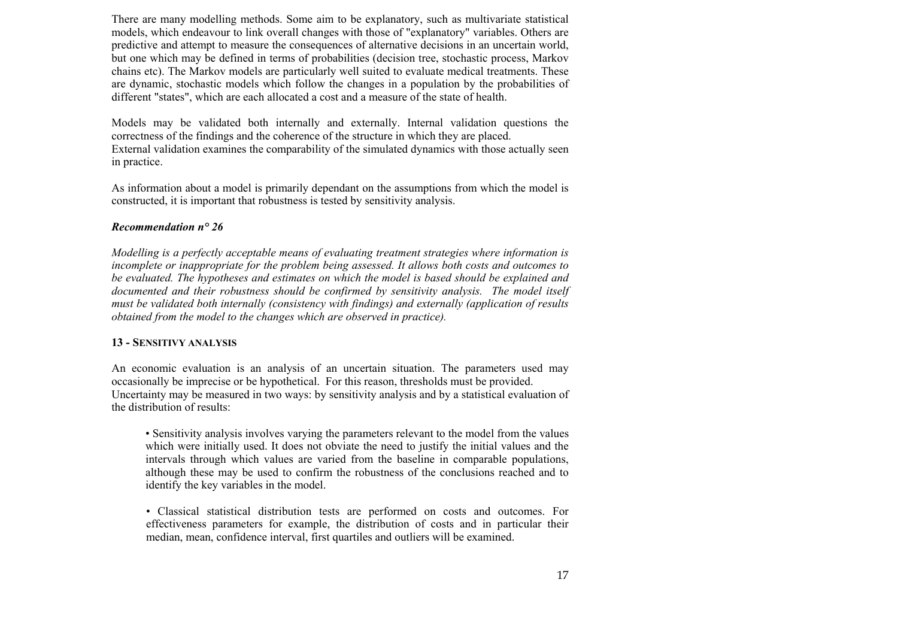There are many modelling methods. Some aim to be explanatory, such as multivariate statistical models, which endeavour to link overall changes with those of "explanatory" variables. Others are predictive and attempt to measure the consequences of alternative decisions in an uncertain world, but one which may be defined in terms of probabilities (decision tree, stochastic process, Markov chains etc). The Markov models are particularly well suited to evaluate medical treatments. These are dynamic, stochastic models which follow the changes in a population by the probabilities of different "states", which are each allocated a cost and a measure of the state of health.

Models may be validated both internally and externally. Internal validation questions the correctness of the findings and the coherence of the structure in which they are placed. External validation examines the comparability of the simulated dynamics with those actually seen in practice.

As information about a model is primarily dependant on the assumptions from which the model is constructed, it is important that robustness is tested by sensitivity analysis.

#### *Recommendation n° 26*

*Modelling is a perfectly acceptable means of evaluating treatment strategies where information is incomplete or inappropriate for the problem being assessed. It allows both costs and outcomes to be evaluated. The hypotheses and estimates on which the model is based should be explained and documented and their robustness should be confirmed by sensitivity analysis. The model itself must be validated both internally (consistency with findings) and externally (application of results obtained from the model to the changes which are observed in practice).*

#### **13 - SENSITIVY ANALYSIS**

An economic evaluation is an analysis of an uncertain situation. The parameters used may occasionally be imprecise or be hypothetical. For this reason, thresholds must be provided. Uncertainty may be measured in two ways: by sensitivity analysis and by a statistical evaluation of the distribution of results:

• Sensitivity analysis involves varying the parameters relevant to the model from the values which were initially used. It does not obviate the need to justify the initial values and the intervals through which values are varied from the baseline in comparable populations, although these may be used to confirm the robustness of the conclusions reached and to identify the key variables in the model.

• Classical statistical distribution tests are performed on costs and outcomes. For effectiveness parameters for example, the distribution of costs and in particular their median, mean, confidence interval, first quartiles and outliers will be examined.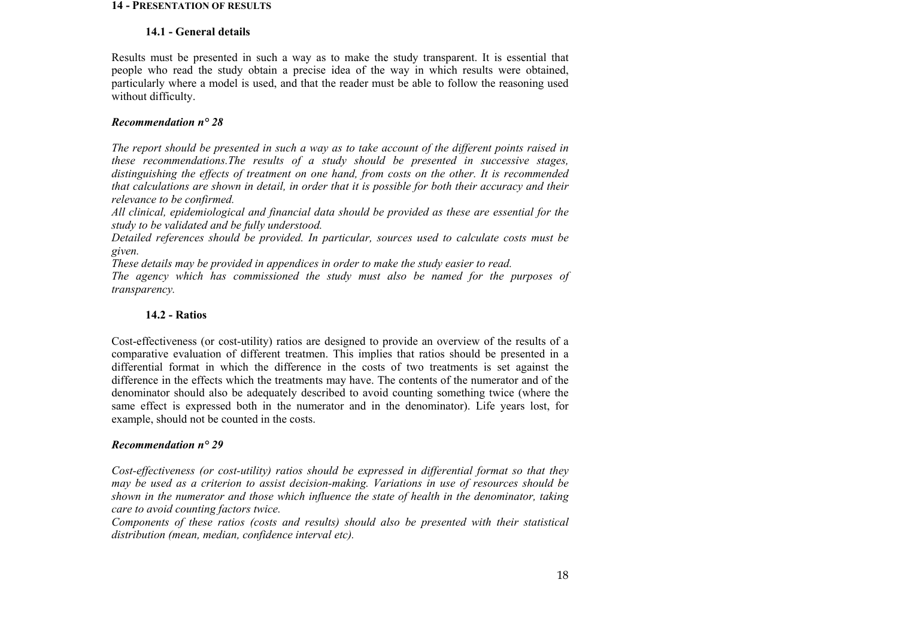#### **14 - PRESENTATION OF RESULTS**

#### **14.1 - General details**

Results must be presented in such a way as to make the study transparent. It is essential that people who read the study obtain a precise idea of the way in which results were obtained, particularly where a model is used, and that the reader must be able to follow the reasoning used without difficulty.

## *Recommendation n° 28*

*The report should be presented in such a way as to take account of the different points raised in these recommendations.The results of a study should be presented in successive stages, distinguishing the effects of treatment on one hand, from costs on the other. It is recommended that calculations are shown in detail, in order that it is possible for both their accuracy and their relevance to be confirmed.* 

*All clinical, epidemiological and financial data should be provided as these are essential for the study to be validated and be fully understood.* 

*Detailed references should be provided. In particular, sources used to calculate costs must be given.* 

*These details may be provided in appendices in order to make the study easier to read.* 

*The agency which has commissioned the study must also be named for the purposes of transparency.*

# **14.2 - Ratios**

Cost-effectiveness (or cost-utility) ratios are designed to provide an overview of the results of a comparative evaluation of different treatmen. This implies that ratios should be presented in a differential format in which the difference in the costs of two treatments is set against the difference in the effects which the treatments may have. The contents of the numerator and of the denominator should also be adequately described to avoid counting something twice (where the same effect is expressed both in the numerator and in the denominator). Life years lost, for example, should not be counted in the costs.

# *Recommendation n° 29*

*Cost-effectiveness (or cost-utility) ratios should be expressed in differential format so that they may be used as a criterion to assist decision-making. Variations in use of resources should be shown in the numerator and those which influence the state of health in the denominator, taking care to avoid counting factors twice.* 

*Components of these ratios (costs and results) should also be presented with their statistical distribution (mean, median, confidence interval etc).*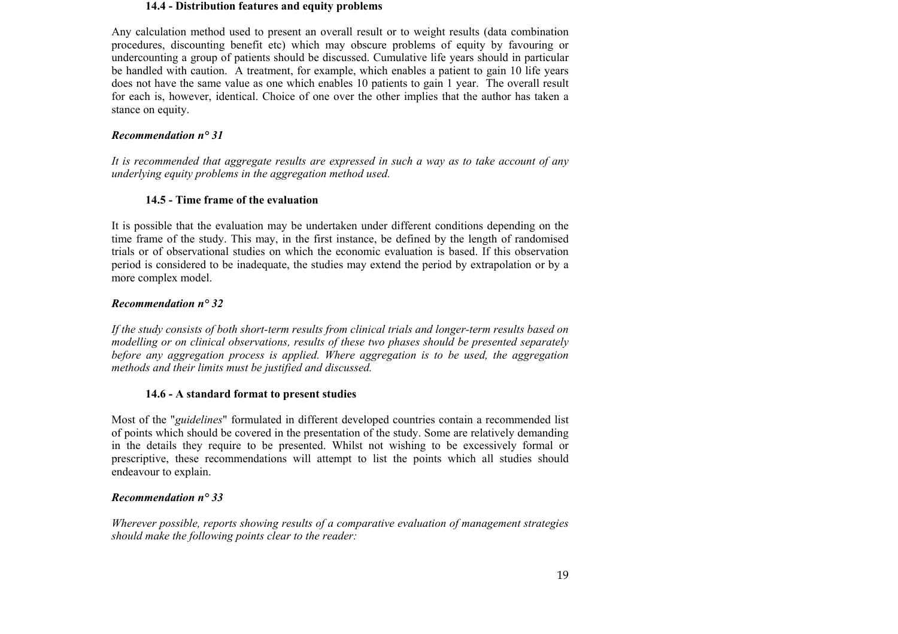#### **14.4 - Distribution features and equity problems**

Any calculation method used to present an overall result or to weight results (data combination procedures, discounting benefit etc) which may obscure problems of equity by favouring or undercounting a group of patients should be discussed. Cumulative life years should in particular be handled with caution. A treatment, for example, which enables a patient to gain 10 life years does not have the same value as one which enables 10 patients to gain 1 year. The overall result for each is, however, identical. Choice of one over the other implies that the author has taken a stance on equity.

# *Recommendation n° 31*

*It is recommended that aggregate results are expressed in such a way as to take account of any underlying equity problems in the aggregation method used.*

# **14.5 - Time frame of the evaluation**

It is possible that the evaluation may be undertaken under different conditions depending on the time frame of the study. This may, in the first instance, be defined by the length of randomised trials or of observational studies on which the economic evaluation is based. If this observation period is considered to be inadequate, the studies may extend the period by extrapolation or by a more complex model.

# *Recommendation n° 32*

*If the study consists of both short-term results from clinical trials and longer-term results based on modelling or on clinical observations, results of these two phases should be presented separately before any aggregation process is applied. Where aggregation is to be used, the aggregation methods and their limits must be justified and discussed.*

# **14.6 - A standard format to present studies**

Most of the "*guidelines*" formulated in different developed countries contain a recommended list of points which should be covered in the presentation of the study. Some are relatively demanding in the details they require to be presented. Whilst not wishing to be excessively formal or prescriptive, these recommendations will attempt to list the points which all studies should endeavour to explain.

# *Recommendation n° 33*

*Wherever possible, reports showing results of a comparative evaluation of management strategies should make the following points clear to the reader:*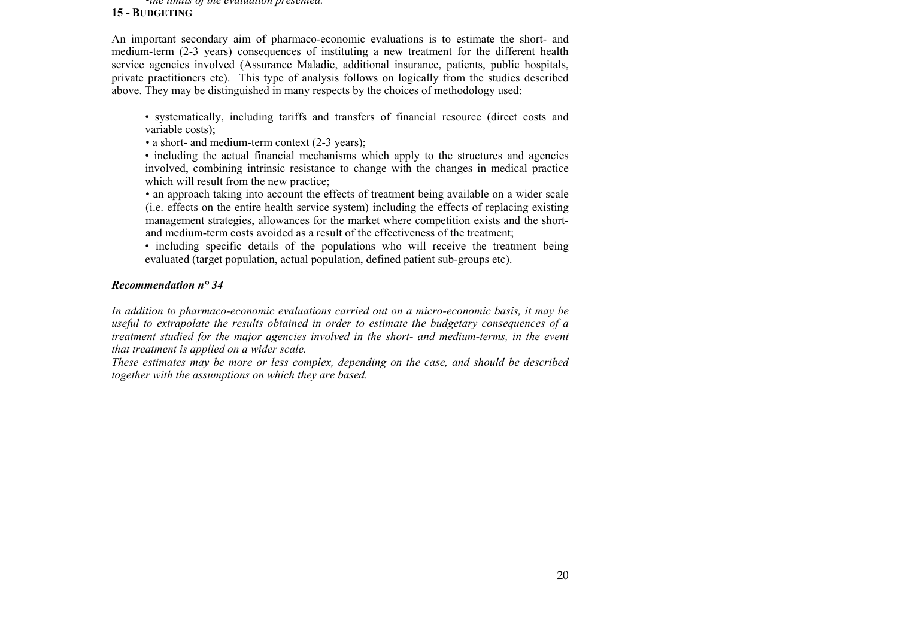#### •*the limits of the evaluation presented.* **15 - BUDGETING**

An important secondary aim of pharmaco-economic evaluations is to estimate the short- and medium-term (2-3 years) consequences of instituting a new treatment for the different health service agencies involved (Assurance Maladie, additional insurance, patients, public hospitals, private practitioners etc). This type of analysis follows on logically from the studies described above. They may be distinguished in many respects by the choices of methodology used:

- systematically, including tariffs and transfers of financial resource (direct costs and variable costs);
- a short- and medium-term context (2-3 years);
- including the actual financial mechanisms which apply to the structures and agencies involved, combining intrinsic resistance to change with the changes in medical practice which will result from the new practice;
- an approach taking into account the effects of treatment being available on a wider scale (i.e. effects on the entire health service system) including the effects of replacing existing management strategies, allowances for the market where competition exists and the shortand medium-term costs avoided as a result of the effectiveness of the treatment;
- including specific details of the populations who will receive the treatment being evaluated (target population, actual population, defined patient sub-groups etc).

## *Recommendation n° 34*

*In addition to pharmaco-economic evaluations carried out on a micro-economic basis, it may be useful to extrapolate the results obtained in order to estimate the budgetary consequences of a treatment studied for the major agencies involved in the short- and medium-terms, in the event that treatment is applied on a wider scale.* 

*These estimates may be more or less complex, depending on the case, and should be described together with the assumptions on which they are based.*